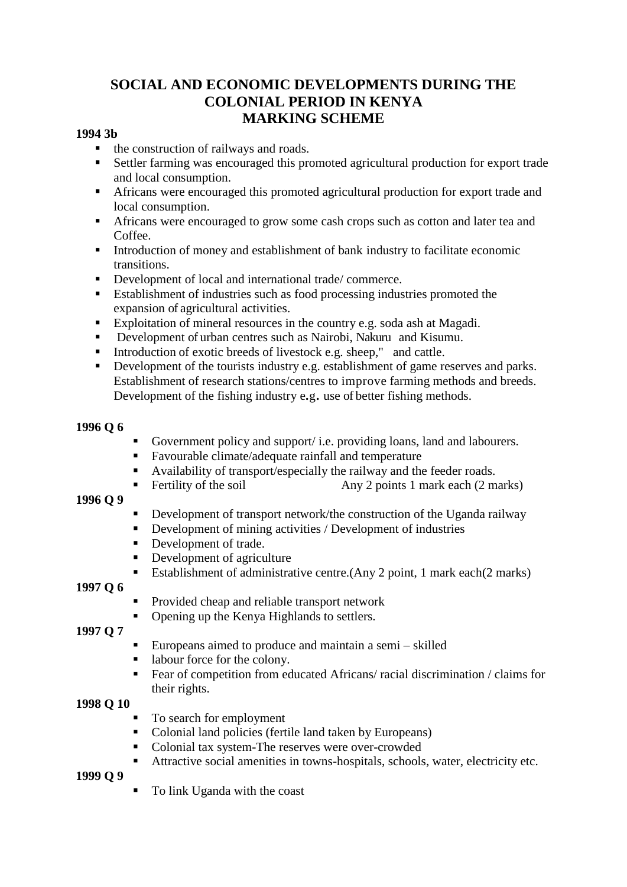# **SOCIAL AND ECONOMIC DEVELOPMENTS DURING THE COLONIAL PERIOD IN KENYA MARKING SCHEME**

#### **1994 3b**

- $\blacksquare$  the construction of railways and roads.
- Settler farming was encouraged this promoted agricultural production for export trade and local consumption.
- Africans were encouraged this promoted agricultural production for export trade and local consumption.
- Africans were encouraged to grow some cash crops such as cotton and later tea and Coffee.
- Introduction of money and establishment of bank industry to facilitate economic transitions.
- Development of local and international trade/ commerce.
- Establishment of industries such as food processing industries promoted the expansion of agricultural activities.
- Exploitation of mineral resources in the country e.g. soda ash at Magadi.
- Development of urban centres such as Nairobi, Nakuruand Kisumu.
- Introduction of exotic breeds of livestock e.g. sheep," and cattle.<br>Development of the tourists industry e.g. establishment of game re-
- Development of the tourists industry e.g. establishment of game reserves and parks. Establishment of research stations/centres to improve farming methods and breeds. Development of the fishing industry e**.**g**.** use of better fishing methods.

#### **1996 Q 6**

- Government policy and support/ i.e. providing loans, land and labourers.
- Favourable climate/adequate rainfall and temperature
- Availability of transport/especially the railway and the feeder roads.
- Fertility of the soil Any 2 points 1 mark each (2 marks)

#### **1996 Q 9**

- Development of transport network/the construction of the Uganda railway
- Development of mining activities / Development of industries
- Development of trade.
- Development of agriculture
- Establishment of administrative centre.(Any 2 point, 1 mark each(2 marks)

#### **1997 Q 6**

- Provided cheap and reliable transport network
- Opening up the Kenya Highlands to settlers.

**1997 Q 7**

- Europeans aimed to produce and maintain a semi skilled
- labour force for the colony.
- Fear of competition from educated Africans/ racial discrimination / claims for their rights.

### **1998 Q 10**

- To search for employment
- Colonial land policies (fertile land taken by Europeans)
- Colonial tax system-The reserves were over-crowded
- Attractive social amenities in towns-hospitals, schools, water, electricity etc.

**1999 Q 9**

■ To link Uganda with the coast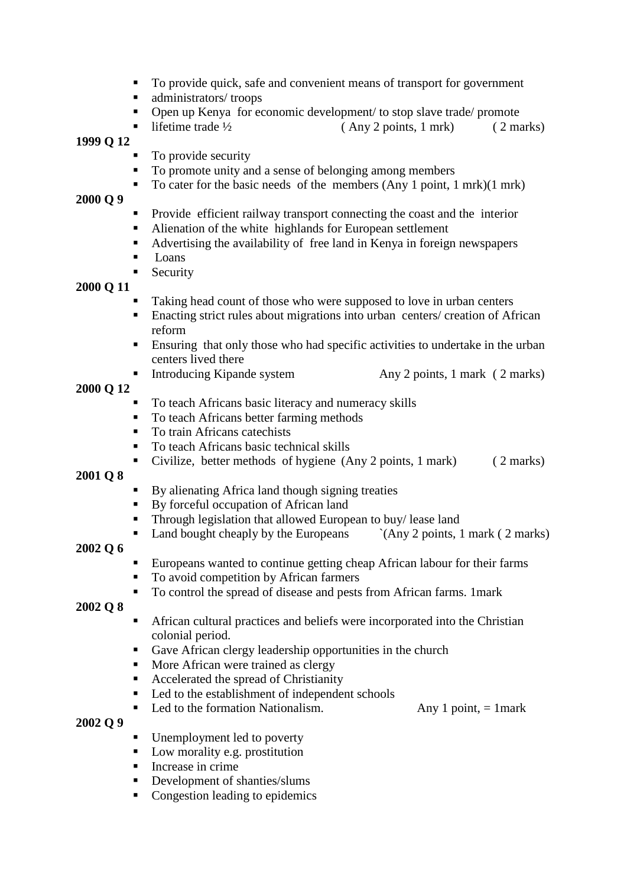- To provide quick, safe and convenient means of transport for government
- administrators/ troops
- Open up Kenya for economic development/ to stop slave trade/ promote
- lifetime trade  $\frac{1}{2}$  (Any 2 points, 1 mrk) ( 2 marks)

- To provide security
- To promote unity and a sense of belonging among members
- To cater for the basic needs of the members (Any 1 point, 1 mrk)(1 mrk)

#### **2000 Q 9**

- Provide efficient railway transport connecting the coast and the interior
- Alienation of the white highlands for European settlement
- Advertising the availability of free land in Kenya in foreign newspapers
- Loans
- **Security**

### **2000 Q 11**

- Taking head count of those who were supposed to love in urban centers
- **Enacting strict rules about migrations into urban centers/ creation of African** reform
- Ensuring that only those who had specific activities to undertake in the urban centers lived there
- Introducing Kipande system Any 2 points, 1 mark ( 2 marks)

### **2000 Q 12**

- To teach Africans basic literacy and numeracy skills
- To teach Africans better farming methods
- To train Africans catechists
- To teach Africans basic technical skills
- Civilize, better methods of hygiene (Any 2 points, 1 mark) (2 marks)

#### **2001 Q 8**

- By alienating Africa land though signing treaties
- By forceful occupation of African land
- Through legislation that allowed European to buy/ lease land
- Land bought cheaply by the Europeans  $\hat{A}$  (Any 2 points, 1 mark ( 2 marks)

### **2002 Q 6**

- Europeans wanted to continue getting cheap African labour for their farms
- To avoid competition by African farmers
- To control the spread of disease and pests from African farms. 1mark

### **2002 Q 8**

- African cultural practices and beliefs were incorporated into the Christian colonial period.
- Gave African clergy leadership opportunities in the church
- $\blacksquare$  More African were trained as clergy
- Accelerated the spread of Christianity
- Led to the establishment of independent schools
- Led to the formation Nationalism. Any 1 point,  $= 1$  mark
- **2002 Q 9**
- Unemployment led to poverty
- Low morality e.g. prostitution
- Increase in crime
- Development of shanties/slums
- Congestion leading to epidemics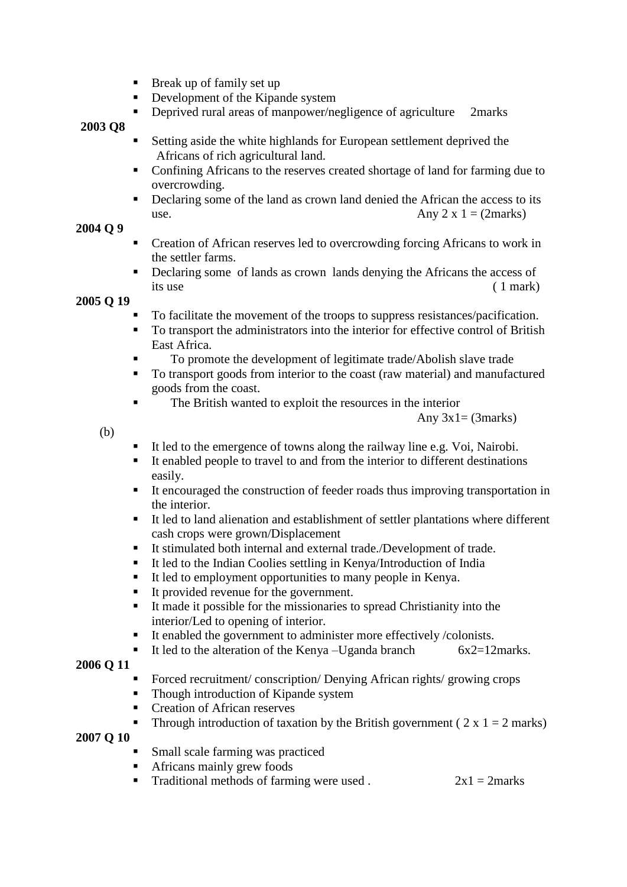- $\blacksquare$  Break up of family set up
- Development of the Kipande system
- Deprived rural areas of manpower/negligence of agriculture 2marks

- Setting aside the white highlands for European settlement deprived the Africans of rich agricultural land.
- Confining Africans to the reserves created shortage of land for farming due to overcrowding.
- Declaring some of the land as crown land denied the African the access to its use.  $\Delta$ ny 2 x 1 = (2marks)

# **2004 Q 9**

- Creation of African reserves led to overcrowding forcing Africans to work in the settler farms.
- Declaring some of lands as crown lands denying the Africans the access of its use ( 1 mark)

# **2005 Q 19**

- To facilitate the movement of the troops to suppress resistances/pacification.
- To transport the administrators into the interior for effective control of British East Africa.
- To promote the development of legitimate trade/Abolish slave trade
- To transport goods from interior to the coast (raw material) and manufactured goods from the coast.
- The British wanted to exploit the resources in the interior

Any  $3x1 = (3 marks)$ 

(b)

- It led to the emergence of towns along the railway line e.g. Voi, Nairobi.
- It enabled people to travel to and from the interior to different destinations easily.
- It encouraged the construction of feeder roads thus improving transportation in the interior.
- It led to land alienation and establishment of settler plantations where different cash crops were grown/Displacement
- It stimulated both internal and external trade./Development of trade.
- It led to the Indian Coolies settling in Kenya/Introduction of India
- It led to employment opportunities to many people in Kenya.
- It provided revenue for the government.
- It made it possible for the missionaries to spread Christianity into the interior/Led to opening of interior.
- It enabled the government to administer more effectively /colonists.
- It led to the alteration of the Kenya –Uganda branch  $6x2=12$ marks.

### **2006 Q 11**

- Forced recruitment/ conscription/ Denying African rights/ growing crops
- Though introduction of Kipande system
- Creation of African reserves
- Through introduction of taxation by the British government ( $2 \times 1 = 2$  marks)

### **2007 Q 10**

- Small scale farming was practiced
- Africans mainly grew foods
- Traditional methods of farming were used .  $2x1 = 2$  marks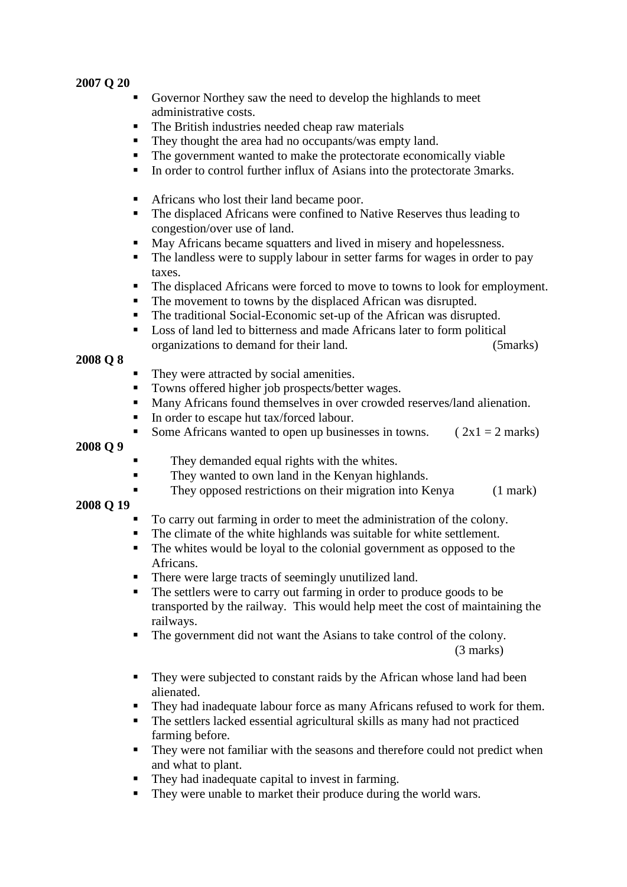- Governor Northey saw the need to develop the highlands to meet administrative costs.
- The British industries needed cheap raw materials
- They thought the area had no occupants/was empty land.
- The government wanted to make the protectorate economically viable
- In order to control further influx of Asians into the protectorate 3marks.
- Africans who lost their land became poor.
- The displaced Africans were confined to Native Reserves thus leading to congestion/over use of land.
- May Africans became squatters and lived in misery and hopelessness.
- The landless were to supply labour in setter farms for wages in order to pay taxes.
- The displaced Africans were forced to move to towns to look for employment.
- The movement to towns by the displaced African was disrupted.
- The traditional Social-Economic set-up of the African was disrupted.
- Loss of land led to bitterness and made Africans later to form political organizations to demand for their land. (5marks)

#### **2008 Q 8**

- They were attracted by social amenities.
- Towns offered higher job prospects/better wages.
- Many Africans found themselves in over crowded reserves/land alienation.
- In order to escape hut tax/forced labour.
- Some Africans wanted to open up businesses in towns. ( $2x1 = 2$  marks)

#### **2008 Q 9**

- They demanded equal rights with the whites.
- They wanted to own land in the Kenyan highlands.
- They opposed restrictions on their migration into Kenya (1 mark)

#### **2008 Q 19**

- To carry out farming in order to meet the administration of the colony.
- The climate of the white highlands was suitable for white settlement.
- The whites would be loyal to the colonial government as opposed to the Africans.
- There were large tracts of seemingly unutilized land.
- The settlers were to carry out farming in order to produce goods to be transported by the railway. This would help meet the cost of maintaining the railways.
- The government did not want the Asians to take control of the colony.

(3 marks)

- They were subjected to constant raids by the African whose land had been alienated.
- They had inadequate labour force as many Africans refused to work for them.
- The settlers lacked essential agricultural skills as many had not practiced farming before.
- They were not familiar with the seasons and therefore could not predict when and what to plant.
- They had inadequate capital to invest in farming.
- They were unable to market their produce during the world wars.